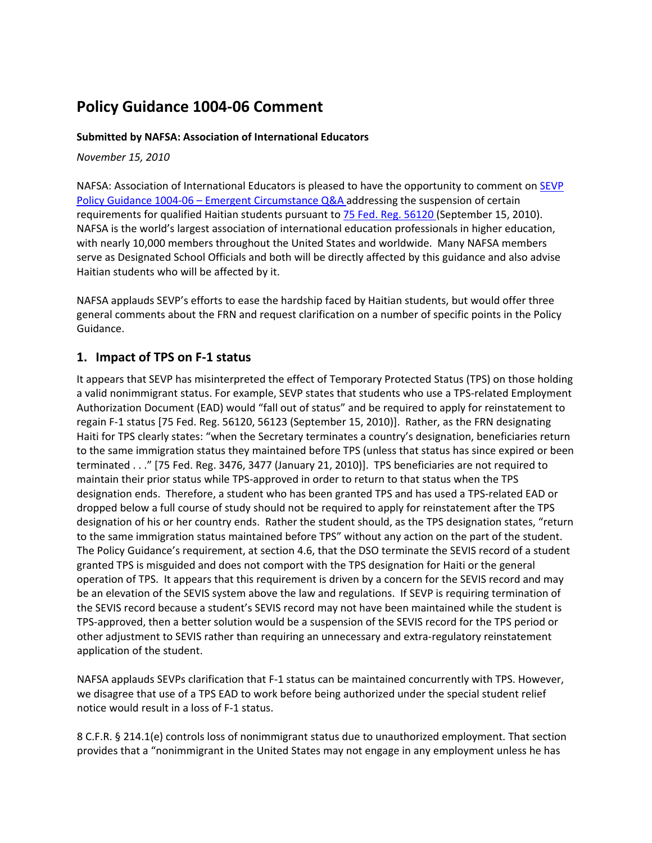# **Policy Guidance 1004‐06 Comment**

#### **Submitted by NAFSA: Association of International Educators**

*November 15, 2010*

NAFSA: Association of International Educators is pleased to have the opportunity to comment on **SEVP** Policy Guidance 1004‐06 – Emergent Circumstance Q&A addressing the suspension of certain requirements for qualified Haitian students pursuant to 75 Fed. Reg. 56120 (September 15, 2010). NAFSA is the world's largest association of international education professionals in higher education, with nearly 10,000 members throughout the United States and worldwide. Many NAFSA members serve as Designated School Officials and both will be directly affected by this guidance and also advise Haitian students who will be affected by it.

NAFSA applauds SEVP's efforts to ease the hardship faced by Haitian students, but would offer three general comments about the FRN and request clarification on a number of specific points in the Policy Guidance.

#### **1. Impact of TPS on F‐1 status**

It appears that SEVP has misinterpreted the effect of Temporary Protected Status (TPS) on those holding a valid nonimmigrant status. For example, SEVP states that students who use a TPS‐related Employment Authorization Document (EAD) would "fall out of status" and be required to apply for reinstatement to regain F‐1 status [75 Fed. Reg. 56120, 56123 (September 15, 2010)]. Rather, as the FRN designating Haiti for TPS clearly states: "when the Secretary terminates a country's designation, beneficiaries return to the same immigration status they maintained before TPS (unless that status has since expired or been terminated . . ." [75 Fed. Reg. 3476, 3477 (January 21, 2010)]. TPS beneficiaries are not required to maintain their prior status while TPS‐approved in order to return to that status when the TPS designation ends. Therefore, a student who has been granted TPS and has used a TPS‐related EAD or dropped below a full course of study should not be required to apply for reinstatement after the TPS designation of his or her country ends. Rather the student should, as the TPS designation states, "return to the same immigration status maintained before TPS" without any action on the part of the student. The Policy Guidance's requirement, at section 4.6, that the DSO terminate the SEVIS record of a student granted TPS is misguided and does not comport with the TPS designation for Haiti or the general operation of TPS. It appears that this requirement is driven by a concern for the SEVIS record and may be an elevation of the SEVIS system above the law and regulations. If SEVP is requiring termination of the SEVIS record because a student's SEVIS record may not have been maintained while the student is TPS‐approved, then a better solution would be a suspension of the SEVIS record for the TPS period or other adjustment to SEVIS rather than requiring an unnecessary and extra‐regulatory reinstatement application of the student.

NAFSA applauds SEVPs clarification that F‐1 status can be maintained concurrently with TPS. However, we disagree that use of a TPS EAD to work before being authorized under the special student relief notice would result in a loss of F‐1 status.

8 C.F.R. § 214.1(e) controls loss of nonimmigrant status due to unauthorized employment. That section provides that a "nonimmigrant in the United States may not engage in any employment unless he has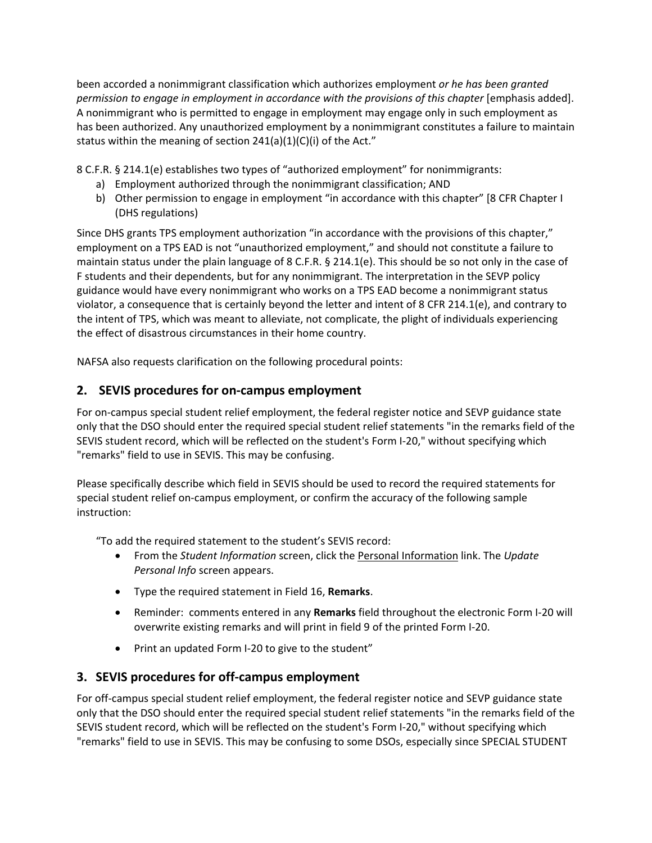been accorded a nonimmigrant classification which authorizes employment *or he has been granted permission to engage in employment in accordance with the provisions of this chapter* [emphasis added]. A nonimmigrant who is permitted to engage in employment may engage only in such employment as has been authorized. Any unauthorized employment by a nonimmigrant constitutes a failure to maintain status within the meaning of section  $241(a)(1)(C)(i)$  of the Act."

8 C.F.R. § 214.1(e) establishes two types of "authorized employment" for nonimmigrants:

- a) Employment authorized through the nonimmigrant classification; AND
- b) Other permission to engage in employment "in accordance with this chapter" [8 CFR Chapter I (DHS regulations)

Since DHS grants TPS employment authorization "in accordance with the provisions of this chapter," employment on a TPS EAD is not "unauthorized employment," and should not constitute a failure to maintain status under the plain language of 8 C.F.R. § 214.1(e). This should be so not only in the case of F students and their dependents, but for any nonimmigrant. The interpretation in the SEVP policy guidance would have every nonimmigrant who works on a TPS EAD become a nonimmigrant status violator, a consequence that is certainly beyond the letter and intent of 8 CFR 214.1(e), and contrary to the intent of TPS, which was meant to alleviate, not complicate, the plight of individuals experiencing the effect of disastrous circumstances in their home country.

NAFSA also requests clarification on the following procedural points:

# **2. SEVIS procedures for on‐campus employment**

For on-campus special student relief employment, the federal register notice and SEVP guidance state only that the DSO should enter the required special student relief statements "in the remarks field of the SEVIS student record, which will be reflected on the student's Form I‐20," without specifying which "remarks" field to use in SEVIS. This may be confusing.

Please specifically describe which field in SEVIS should be used to record the required statements for special student relief on-campus employment, or confirm the accuracy of the following sample instruction:

"To add the required statement to the student's SEVIS record:

- From the *Student Information* screen, click the Personal Information link. The *Update Personal Info* screen appears.
- Type the required statement in Field 16, **Remarks**.
- Reminder: comments entered in any **Remarks** field throughout the electronic Form I‐20 will overwrite existing remarks and will print in field 9 of the printed Form I‐20.
- Print an updated Form I‐20 to give to the student"

## **3. SEVIS procedures for off‐campus employment**

For off-campus special student relief employment, the federal register notice and SEVP guidance state only that the DSO should enter the required special student relief statements "in the remarks field of the SEVIS student record, which will be reflected on the student's Form I‐20," without specifying which "remarks" field to use in SEVIS. This may be confusing to some DSOs, especially since SPECIAL STUDENT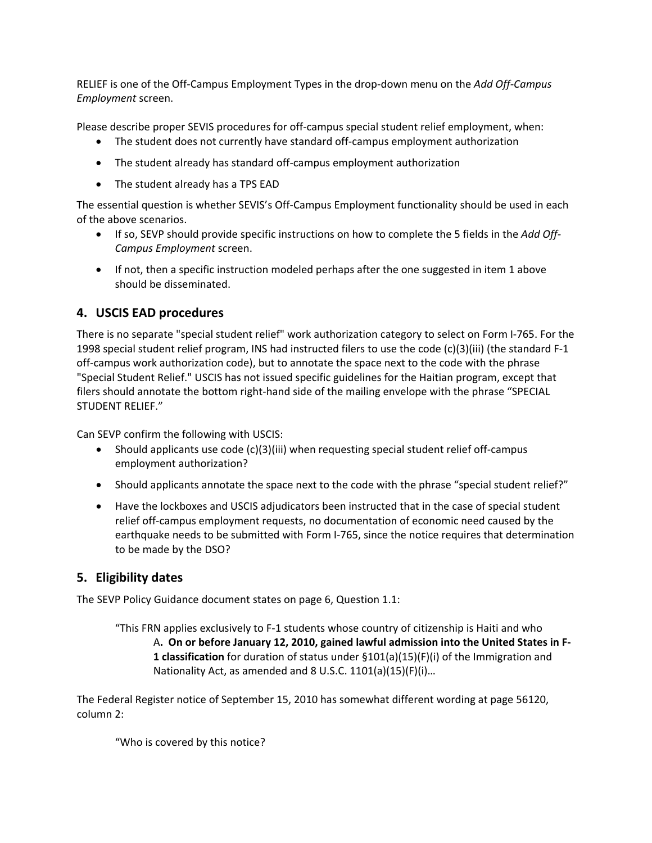RELIEF is one of the Off‐Campus Employment Types in the drop‐down menu on the *Add Off‐Campus Employment* screen.

Please describe proper SEVIS procedures for off‐campus special student relief employment, when:

- The student does not currently have standard off-campus employment authorization
- The student already has standard off‐campus employment authorization
- The student already has a TPS EAD

The essential question is whether SEVIS's Off‐Campus Employment functionality should be used in each of the above scenarios.

- If so, SEVP should provide specific instructions on how to complete the 5 fields in the *Add Off‐ Campus Employment* screen.
- If not, then a specific instruction modeled perhaps after the one suggested in item 1 above should be disseminated.

#### **4. USCIS EAD procedures**

There is no separate "special student relief" work authorization category to select on Form I‐765. For the 1998 special student relief program, INS had instructed filers to use the code (c)(3)(iii) (the standard F‐1 off-campus work authorization code), but to annotate the space next to the code with the phrase "Special Student Relief." USCIS has not issued specific guidelines for the Haitian program, except that filers should annotate the bottom right-hand side of the mailing envelope with the phrase "SPECIAL STUDENT RELIEF."

Can SEVP confirm the following with USCIS:

- Should applicants use code (c)(3)(iii) when requesting special student relief off‐campus employment authorization?
- Should applicants annotate the space next to the code with the phrase "special student relief?"
- Have the lockboxes and USCIS adjudicators been instructed that in the case of special student relief off‐campus employment requests, no documentation of economic need caused by the earthquake needs to be submitted with Form I-765, since the notice requires that determination to be made by the DSO?

## **5. Eligibility dates**

The SEVP Policy Guidance document states on page 6, Question 1.1:

"This FRN applies exclusively to F‐1 students whose country of citizenship is Haiti and who A**. On or before January 12, 2010, gained lawful admission into the United States in F‐ 1 classification** for duration of status under §101(a)(15)(F)(i) of the Immigration and Nationality Act, as amended and 8 U.S.C. 1101(a)(15)(F)(i)…

The Federal Register notice of September 15, 2010 has somewhat different wording at page 56120, column 2:

"Who is covered by this notice?